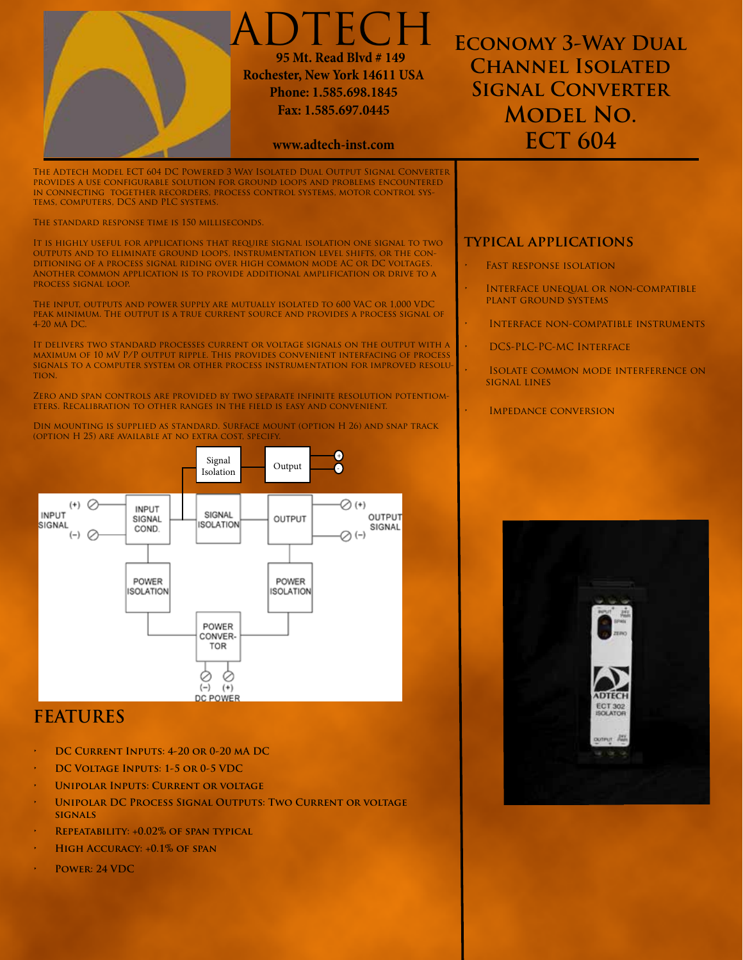

- **• DC Current Inputs: 4-20 or 0-20 mA DC**
- **DC VOLTAGE INPUTS: 1-5 OR 0-5 VDC**
- **UNIPOLAR INPUTS: CURRENT OR VOLTAGE**
- **UNIPOLAR DC PROCESS SIGNAL OUTPUTS: TWO CURRENT OR VOLTAGE signals**
- **• Repeatability: +0.02% of span typical**
- **HIGH ACCURACY: +0.1% OF SPAN**
- **POWER: 24 VDC**